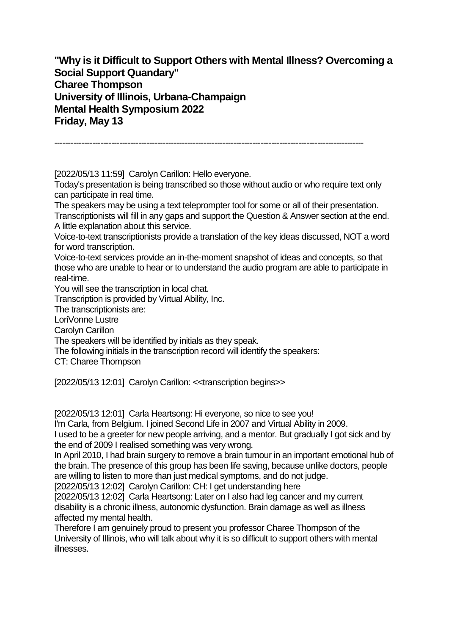**"Why is it Difficult to Support Others with Mental Illness? Overcoming a Social Support Quandary" Charee Thompson University of Illinois, Urbana-Champaign Mental Health Symposium 2022 Friday, May 13**

------------------------------------------------------------------------------------------------------------------

[2022/05/13 11:59] Carolyn Carillon: Hello everyone.

Today's presentation is being transcribed so those without audio or who require text only can participate in real time.

The speakers may be using a text teleprompter tool for some or all of their presentation. Transcriptionists will fill in any gaps and support the Question & Answer section at the end. A little explanation about this service.

Voice-to-text transcriptionists provide a translation of the key ideas discussed, NOT a word for word transcription.

Voice-to-text services provide an in-the-moment snapshot of ideas and concepts, so that those who are unable to hear or to understand the audio program are able to participate in real-time.

You will see the transcription in local chat.

Transcription is provided by Virtual Ability, Inc.

The transcriptionists are:

LoriVonne Lustre

Carolyn Carillon

The speakers will be identified by initials as they speak.

The following initials in the transcription record will identify the speakers:

CT: Charee Thompson

[2022/05/13 12:01] Carolyn Carillon: <<transcription begins>>

[2022/05/13 12:01] Carla Heartsong: Hi everyone, so nice to see you!

I'm Carla, from Belgium. I joined Second Life in 2007 and Virtual Ability in 2009.

I used to be a greeter for new people arriving, and a mentor. But gradually I got sick and by the end of 2009 I realised something was very wrong.

In April 2010, I had brain surgery to remove a brain tumour in an important emotional hub of the brain. The presence of this group has been life saving, because unlike doctors, people are willing to listen to more than just medical symptoms, and do not judge.

[2022/05/13 12:02] Carolyn Carillon: CH: I get understanding here

[2022/05/13 12:02] Carla Heartsong: Later on I also had leg cancer and my current disability is a chronic illness, autonomic dysfunction. Brain damage as well as illness affected my mental health.

Therefore I am genuinely proud to present you professor Charee Thompson of the University of Illinois, who will talk about why it is so difficult to support others with mental illnesses.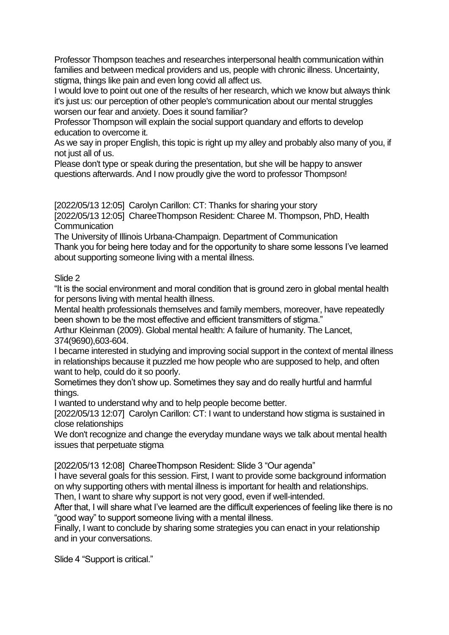Professor Thompson teaches and researches interpersonal health communication within families and between medical providers and us, people with chronic illness. Uncertainty, stigma, things like pain and even long covid all affect us.

I would love to point out one of the results of her research, which we know but always think it's just us: our perception of other people's communication about our mental struggles worsen our fear and anxiety. Does it sound familiar?

Professor Thompson will explain the social support quandary and efforts to develop education to overcome it.

As we say in proper English, this topic is right up my alley and probably also many of you, if not just all of us.

Please don't type or speak during the presentation, but she will be happy to answer questions afterwards. And I now proudly give the word to professor Thompson!

[2022/05/13 12:05] Carolyn Carillon: CT: Thanks for sharing your story

[2022/05/13 12:05] ChareeThompson Resident: Charee M. Thompson, PhD, Health **Communication** 

The University of Illinois Urbana-Champaign. Department of Communication Thank you for being here today and for the opportunity to share some lessons I've learned about supporting someone living with a mental illness.

## Slide 2

"It is the social environment and moral condition that is ground zero in global mental health for persons living with mental health illness.

Mental health professionals themselves and family members, moreover, have repeatedly been shown to be the most effective and efficient transmitters of stigma."

Arthur Kleinman (2009). Global mental health: A failure of humanity. The Lancet, 374(9690),603-604.

I became interested in studying and improving social support in the context of mental illness in relationships because it puzzled me how people who are supposed to help, and often want to help, could do it so poorly.

Sometimes they don't show up. Sometimes they say and do really hurtful and harmful things.

I wanted to understand why and to help people become better.

[2022/05/13 12:07] Carolyn Carillon: CT: I want to understand how stigma is sustained in close relationships

We don't recognize and change the everyday mundane ways we talk about mental health issues that perpetuate stigma

[2022/05/13 12:08] ChareeThompson Resident: Slide 3 "Our agenda"

I have several goals for this session. First, I want to provide some background information on why supporting others with mental illness is important for health and relationships.

Then, I want to share why support is not very good, even if well-intended.

After that, I will share what I've learned are the difficult experiences of feeling like there is no "good way" to support someone living with a mental illness.

Finally, I want to conclude by sharing some strategies you can enact in your relationship and in your conversations.

Slide 4 "Support is critical."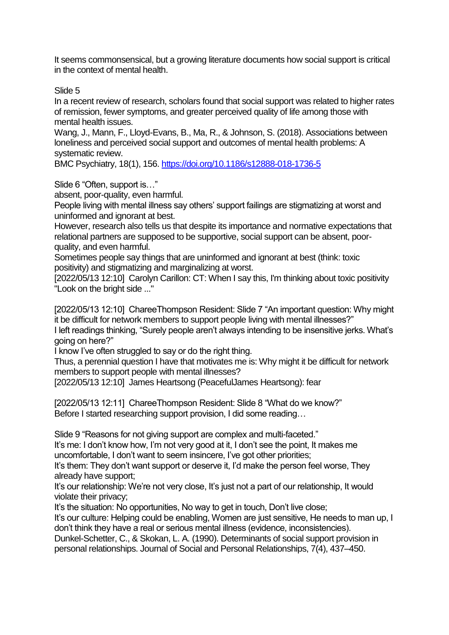It seems commonsensical, but a growing literature documents how social support is critical in the context of mental health.

Slide 5

In a recent review of research, scholars found that social support was related to higher rates of remission, fewer symptoms, and greater perceived quality of life among those with mental health issues.

Wang, J., Mann, F., Lloyd-Evans, B., Ma, R., & Johnson, S. (2018). Associations between loneliness and perceived social support and outcomes of mental health problems: A systematic review.

BMC Psychiatry, 18(1), 156.<https://doi.org/10.1186/s12888-018-1736-5>

Slide 6 "Often, support is…"

absent, poor-quality, even harmful.

People living with mental illness say others' support failings are stigmatizing at worst and uninformed and ignorant at best.

However, research also tells us that despite its importance and normative expectations that relational partners are supposed to be supportive, social support can be absent, poorquality, and even harmful.

Sometimes people say things that are uninformed and ignorant at best (think: toxic positivity) and stigmatizing and marginalizing at worst.

[2022/05/13 12:10] Carolyn Carillon: CT: When I say this, I'm thinking about toxic positivity "Look on the bright side ..."

[2022/05/13 12:10] ChareeThompson Resident: Slide 7 "An important question: Why might it be difficult for network members to support people living with mental illnesses?"

I left readings thinking, "Surely people aren't always intending to be insensitive jerks. What's going on here?"

I know I've often struggled to say or do the right thing.

Thus, a perennial question I have that motivates me is: Why might it be difficult for network members to support people with mental illnesses?

[2022/05/13 12:10] James Heartsong (PeacefulJames Heartsong): fear

[2022/05/13 12:11] ChareeThompson Resident: Slide 8 "What do we know?" Before I started researching support provision, I did some reading…

Slide 9 "Reasons for not giving support are complex and multi-faceted."

It's me: I don't know how, I'm not very good at it, I don't see the point, It makes me uncomfortable, I don't want to seem insincere, I've got other priorities;

It's them: They don't want support or deserve it, I'd make the person feel worse, They already have support;

It's our relationship: We're not very close, It's just not a part of our relationship, It would violate their privacy;

It's the situation: No opportunities, No way to get in touch, Don't live close;

It's our culture: Helping could be enabling, Women are just sensitive, He needs to man up, I don't think they have a real or serious mental illness (evidence, inconsistencies).

Dunkel-Schetter, C., & Skokan, L. A. (1990). Determinants of social support provision in personal relationships. Journal of Social and Personal Relationships, 7(4), 437–450.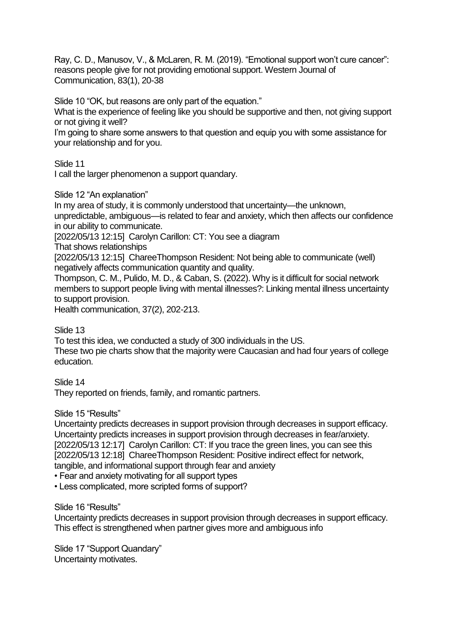Ray, C. D., Manusov, V., & McLaren, R. M. (2019). "Emotional support won't cure cancer": reasons people give for not providing emotional support. Western Journal of Communication, 83(1), 20-38

Slide 10 "OK, but reasons are only part of the equation."

What is the experience of feeling like you should be supportive and then, not giving support or not giving it well?

I'm going to share some answers to that question and equip you with some assistance for your relationship and for you.

Slide 11

I call the larger phenomenon a support quandary.

Slide 12 "An explanation"

In my area of study, it is commonly understood that uncertainty—the unknown,

unpredictable, ambiguous—is related to fear and anxiety, which then affects our confidence in our ability to communicate.

[2022/05/13 12:15] Carolyn Carillon: CT: You see a diagram

That shows relationships

[2022/05/13 12:15] ChareeThompson Resident: Not being able to communicate (well) negatively affects communication quantity and quality.

Thompson, C. M., Pulido, M. D., & Caban, S. (2022). Why is it difficult for social network members to support people living with mental illnesses?: Linking mental illness uncertainty to support provision.

Health communication, 37(2), 202-213.

Slide 13

To test this idea, we conducted a study of 300 individuals in the US.

These two pie charts show that the majority were Caucasian and had four years of college education.

Slide 14

They reported on friends, family, and romantic partners.

Slide 15 "Results"

Uncertainty predicts decreases in support provision through decreases in support efficacy. Uncertainty predicts increases in support provision through decreases in fear/anxiety. [2022/05/13 12:17] Carolyn Carillon: CT: If you trace the green lines, you can see this [2022/05/13 12:18] ChareeThompson Resident: Positive indirect effect for network, tangible, and informational support through fear and anxiety

• Fear and anxiety motivating for all support types

• Less complicated, more scripted forms of support?

Slide 16 "Results"

Uncertainty predicts decreases in support provision through decreases in support efficacy. This effect is strengthened when partner gives more and ambiguous info

Slide 17 "Support Quandary" Uncertainty motivates.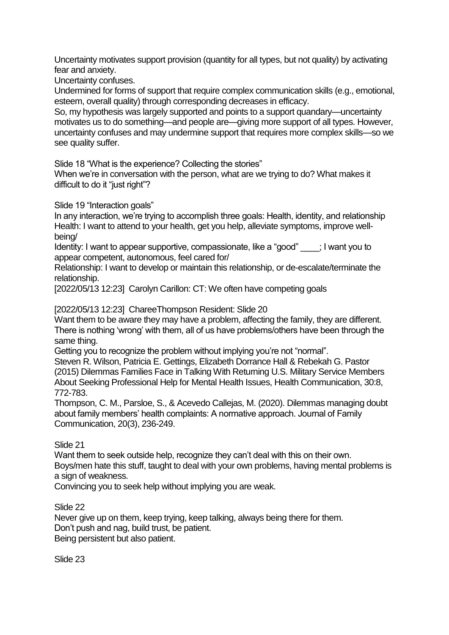Uncertainty motivates support provision (quantity for all types, but not quality) by activating fear and anxiety.

Uncertainty confuses.

Undermined for forms of support that require complex communication skills (e.g., emotional, esteem, overall quality) through corresponding decreases in efficacy.

So, my hypothesis was largely supported and points to a support quandary—uncertainty motivates us to do something—and people are—giving more support of all types. However, uncertainty confuses and may undermine support that requires more complex skills—so we see quality suffer.

Slide 18 "What is the experience? Collecting the stories"

When we're in conversation with the person, what are we trying to do? What makes it difficult to do it "just right"?

Slide 19 "Interaction goals"

In any interaction, we're trying to accomplish three goals: Health, identity, and relationship Health: I want to attend to your health, get you help, alleviate symptoms, improve wellbeing/

Identity: I want to appear supportive, compassionate, like a "good" \_\_\_\_; I want you to appear competent, autonomous, feel cared for/

Relationship: I want to develop or maintain this relationship, or de-escalate/terminate the relationship.

[2022/05/13 12:23] Carolyn Carillon: CT: We often have competing goals

[2022/05/13 12:23] ChareeThompson Resident: Slide 20

Want them to be aware they may have a problem, affecting the family, they are different. There is nothing 'wrong' with them, all of us have problems/others have been through the same thing.

Getting you to recognize the problem without implying you're not "normal".

Steven R. Wilson, Patricia E. Gettings, Elizabeth Dorrance Hall & Rebekah G. Pastor (2015) Dilemmas Families Face in Talking With Returning U.S. Military Service Members About Seeking Professional Help for Mental Health Issues, Health Communication, 30:8, 772-783.

Thompson, C. M., Parsloe, S., & Acevedo Callejas, M. (2020). Dilemmas managing doubt about family members' health complaints: A normative approach. Journal of Family Communication, 20(3), 236-249.

## Slide 21

Want them to seek outside help, recognize they can't deal with this on their own. Boys/men hate this stuff, taught to deal with your own problems, having mental problems is a sign of weakness.

Convincing you to seek help without implying you are weak.

Slide 22

Never give up on them, keep trying, keep talking, always being there for them. Don't push and nag, build trust, be patient. Being persistent but also patient.

Slide 23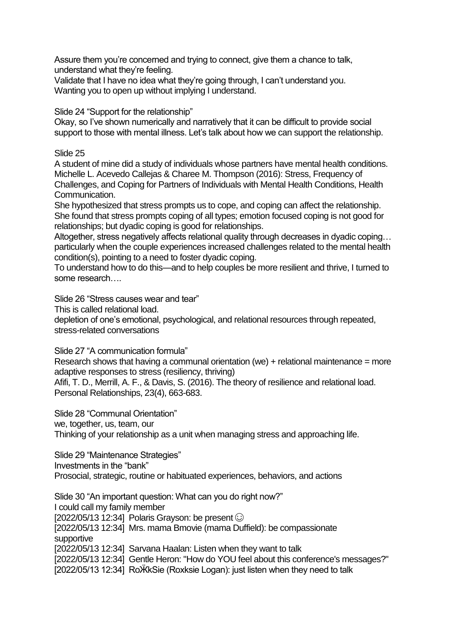Assure them you're concerned and trying to connect, give them a chance to talk, understand what they're feeling.

Validate that I have no idea what they're going through, I can't understand you. Wanting you to open up without implying I understand.

Slide 24 "Support for the relationship"

Okay, so I've shown numerically and narratively that it can be difficult to provide social support to those with mental illness. Let's talk about how we can support the relationship.

## Slide 25

A student of mine did a study of individuals whose partners have mental health conditions. Michelle L. Acevedo Callejas & Charee M. Thompson (2016): Stress, Frequency of Challenges, and Coping for Partners of Individuals with Mental Health Conditions, Health Communication.

She hypothesized that stress prompts us to cope, and coping can affect the relationship. She found that stress prompts coping of all types; emotion focused coping is not good for relationships; but dyadic coping is good for relationships.

Altogether, stress negatively affects relational quality through decreases in dyadic coping… particularly when the couple experiences increased challenges related to the mental health condition(s), pointing to a need to foster dyadic coping.

To understand how to do this—and to help couples be more resilient and thrive, I turned to some research….

Slide 26 "Stress causes wear and tear"

This is called relational load.

depletion of one's emotional, psychological, and relational resources through repeated, stress-related conversations

Slide 27 "A communication formula"

Research shows that having a communal orientation (we)  $+$  relational maintenance = more adaptive responses to stress (resiliency, thriving)

Afifi, T. D., Merrill, A. F., & Davis, S. (2016). The theory of resilience and relational load. Personal Relationships, 23(4), 663-683.

Slide 28 "Communal Orientation"

we, together, us, team, our

Thinking of your relationship as a unit when managing stress and approaching life.

Slide 29 "Maintenance Strategies"

Investments in the "bank"

Prosocial, strategic, routine or habituated experiences, behaviors, and actions

Slide 30 "An important question: What can you do right now?" I could call my family member [2022/05/13 12:34] Polaris Grayson: be present  $\odot$ [2022/05/13 12:34] Mrs. mama Bmovie (mama Duffield): be compassionate supportive [2022/05/13 12:34] Sarvana Haalan: Listen when they want to talk [2022/05/13 12:34] Gentle Heron: "How do YOU feel about this conference's messages?" [2022/05/13 12:34] RoӜkSie (Roxksie Logan): just listen when they need to talk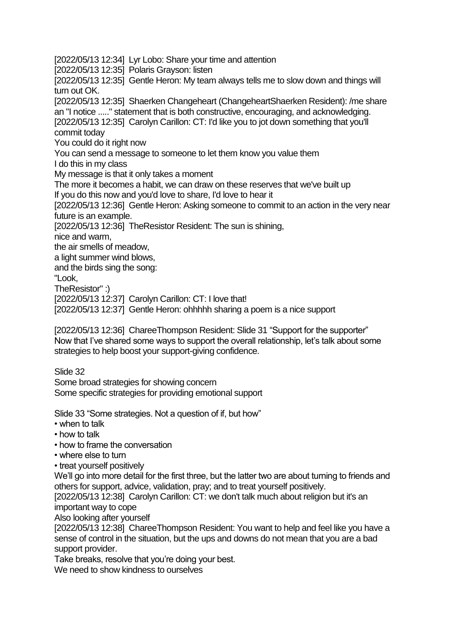[2022/05/13 12:34] Lyr Lobo: Share your time and attention

[2022/05/13 12:35] Polaris Grayson: listen

[2022/05/13 12:35] Gentle Heron: My team always tells me to slow down and things will turn out OK.

[2022/05/13 12:35] Shaerken Changeheart (ChangeheartShaerken Resident): /me share an "I notice ....." statement that is both constructive, encouraging, and acknowledging. [2022/05/13 12:35] Carolyn Carillon: CT: I'd like you to jot down something that you'll

commit today

You could do it right now

You can send a message to someone to let them know you value them

I do this in my class

My message is that it only takes a moment

The more it becomes a habit, we can draw on these reserves that we've built up If you do this now and you'd love to share, I'd love to hear it

[2022/05/13 12:36] Gentle Heron: Asking someone to commit to an action in the very near future is an example.

[2022/05/13 12:36] TheResistor Resident: The sun is shining,

nice and warm,

the air smells of meadow,

a light summer wind blows,

and the birds sing the song:

"Look,

TheResistor" :)

[2022/05/13 12:37] Carolyn Carillon: CT: I love that!

[2022/05/13 12:37] Gentle Heron: ohhhhh sharing a poem is a nice support

[2022/05/13 12:36] ChareeThompson Resident: Slide 31 "Support for the supporter" Now that I've shared some ways to support the overall relationship, let's talk about some strategies to help boost your support-giving confidence.

Slide 32 Some broad strategies for showing concern Some specific strategies for providing emotional support

Slide 33 "Some strategies. Not a question of if, but how"

- when to talk
- how to talk
- how to frame the conversation
- where else to turn
- treat yourself positively

We'll go into more detail for the first three, but the latter two are about turning to friends and others for support, advice, validation, pray; and to treat yourself positively.

[2022/05/13 12:38] Carolyn Carillon: CT: we don't talk much about religion but it's an important way to cope

Also looking after yourself

[2022/05/13 12:38] ChareeThompson Resident: You want to help and feel like you have a sense of control in the situation, but the ups and downs do not mean that you are a bad support provider.

Take breaks, resolve that you're doing your best.

We need to show kindness to ourselves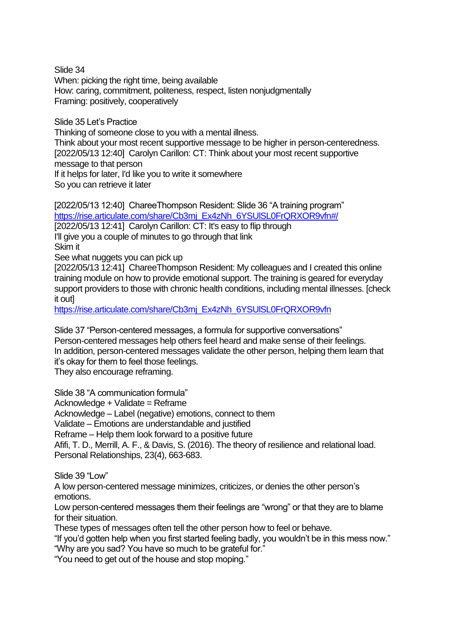Slide 34 When: picking the right time, being available How: caring, commitment, politeness, respect, listen nonjudgmentally Framing: positively, cooperatively

Slide 35 Let's Practice Thinking of someone close to you with a mental illness. Think about your most recent supportive message to be higher in person-centeredness. [2022/05/13 12:40] Carolyn Carillon: CT: Think about your most recent supportive message to that person If it helps for later, I'd like you to write it somewhere So you can retrieve it later

[2022/05/13 12:40] ChareeThompson Resident: Slide 36 "A training program" [https://rise.articulate.com/share/Cb3mj\\_Ex4zNh\\_6YSUlSL0FrQRXOR9vfn#/](https://rise.articulate.com/share/Cb3mj_Ex4zNh_6YSUlSL0FrQRXOR9vfn#/) [2022/05/13 12:41] Carolyn Carillon: CT: It's easy to flip through I'll give you a couple of minutes to go through that link Skim it See what nuggets you can pick up [2022/05/13 12:41] ChareeThompson Resident: My colleagues and I created this online training module on how to provide emotional support. The training is geared for everyday support providers to those with chronic health conditions, including mental illnesses. [check it out]

[https://rise.articulate.com/share/Cb3mj\\_Ex4zNh\\_6YSUlSL0FrQRXOR9vfn](https://rise.articulate.com/share/Cb3mj_Ex4zNh_6YSUlSL0FrQRXOR9vfn)

Slide 37 "Person-centered messages, a formula for supportive conversations" Person-centered messages help others feel heard and make sense of their feelings. In addition, person-centered messages validate the other person, helping them learn that it's okay for them to feel those feelings.

They also encourage reframing.

Slide 38 "A communication formula"

Acknowledge + Validate = Reframe

Acknowledge – Label (negative) emotions, connect to them

Validate – Emotions are understandable and justified

Reframe – Help them look forward to a positive future

Afifi, T. D., Merrill, A. F., & Davis, S. (2016). The theory of resilience and relational load. Personal Relationships, 23(4), 663-683.

Slide 39 "Low"

A low person-centered message minimizes, criticizes, or denies the other person's emotions.

Low person-centered messages them their feelings are "wrong" or that they are to blame for their situation.

These types of messages often tell the other person how to feel or behave.

"If you'd gotten help when you first started feeling badly, you wouldn't be in this mess now." "Why are you sad? You have so much to be grateful for."

"You need to get out of the house and stop moping."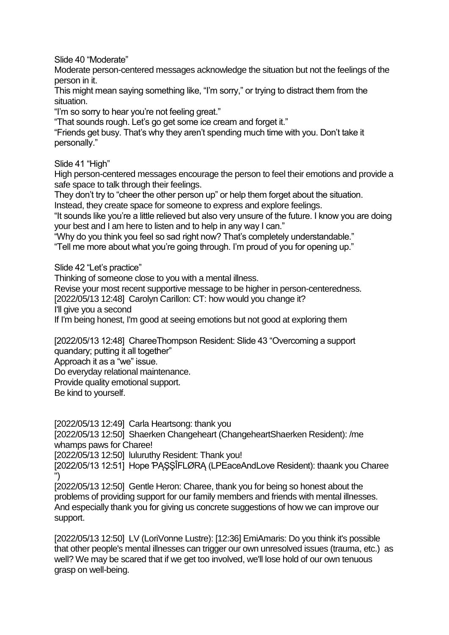Slide 40 "Moderate"

Moderate person-centered messages acknowledge the situation but not the feelings of the person in it.

This might mean saying something like, "I'm sorry," or trying to distract them from the situation.

"I'm so sorry to hear you're not feeling great."

"That sounds rough. Let's go get some ice cream and forget it."

"Friends get busy. That's why they aren't spending much time with you. Don't take it personally."

Slide 41 "High"

High person-centered messages encourage the person to feel their emotions and provide a safe space to talk through their feelings.

They don't try to "cheer the other person up" or help them forget about the situation.

Instead, they create space for someone to express and explore feelings.

"It sounds like you're a little relieved but also very unsure of the future. I know you are doing your best and I am here to listen and to help in any way I can."

"Why do you think you feel so sad right now? That's completely understandable."

"Tell me more about what you're going through. I'm proud of you for opening up."

Slide 42 "Let's practice"

Thinking of someone close to you with a mental illness.

Revise your most recent supportive message to be higher in person-centeredness.

[2022/05/13 12:48] Carolyn Carillon: CT: how would you change it?

I'll give you a second

If I'm being honest, I'm good at seeing emotions but not good at exploring them

[2022/05/13 12:48] ChareeThompson Resident: Slide 43 "Overcoming a support quandary; putting it all together"

Approach it as a "we" issue.

Do everyday relational maintenance.

Provide quality emotional support.

Be kind to yourself.

[2022/05/13 12:49] Carla Heartsong: thank you

[2022/05/13 12:50] Shaerken Changeheart (ChangeheartShaerken Resident): /me whamps paws for Charee!

[2022/05/13 12:50] luluruthy Resident: Thank you!

[2022/05/13 12:51] Hope PASSIFLØRA (LPEaceAndLove Resident): thaank you Charee ")

[2022/05/13 12:50] Gentle Heron: Charee, thank you for being so honest about the problems of providing support for our family members and friends with mental illnesses. And especially thank you for giving us concrete suggestions of how we can improve our support.

[2022/05/13 12:50] LV (LoriVonne Lustre): [12:36] EmiAmaris: Do you think it's possible that other people's mental illnesses can trigger our own unresolved issues (trauma, etc.) as well? We may be scared that if we get too involved, we'll lose hold of our own tenuous grasp on well-being.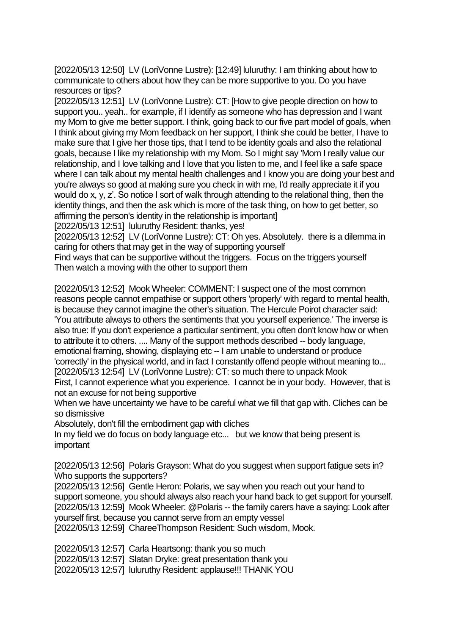[2022/05/13 12:50] LV (LoriVonne Lustre): [12:49] luluruthy: I am thinking about how to communicate to others about how they can be more supportive to you. Do you have resources or tips?

[2022/05/13 12:51] LV (LoriVonne Lustre): CT: [How to give people direction on how to support you.. yeah.. for example, if I identify as someone who has depression and I want my Mom to give me better support. I think, going back to our five part model of goals, when I think about giving my Mom feedback on her support, I think she could be better, I have to make sure that I give her those tips, that I tend to be identity goals and also the relational goals, because I like my relationship with my Mom. So I might say 'Mom I really value our relationship, and I love talking and I love that you listen to me, and I feel like a safe space where I can talk about my mental health challenges and I know you are doing your best and you're always so good at making sure you check in with me, I'd really appreciate it if you would do x, y, z'. So notice I sort of walk through attending to the relational thing, then the identity things, and then the ask which is more of the task thing, on how to get better, so affirming the person's identity in the relationship is important]

[2022/05/13 12:51] luluruthy Resident: thanks, yes!

[2022/05/13 12:52] LV (LoriVonne Lustre): CT: Oh yes. Absolutely. there is a dilemma in caring for others that may get in the way of supporting yourself

Find ways that can be supportive without the triggers. Focus on the triggers yourself Then watch a moving with the other to support them

[2022/05/13 12:52] Mook Wheeler: COMMENT: I suspect one of the most common reasons people cannot empathise or support others 'properly' with regard to mental health, is because they cannot imagine the other's situation. The Hercule Poirot character said: 'You attribute always to others the sentiments that you yourself experience.' The inverse is also true: If you don't experience a particular sentiment, you often don't know how or when to attribute it to others. .... Many of the support methods described -- body language, emotional framing, showing, displaying etc -- I am unable to understand or produce 'correctly' in the physical world, and in fact I constantly offend people without meaning to... [2022/05/13 12:54] LV (LoriVonne Lustre): CT: so much there to unpack Mook

First, I cannot experience what you experience. I cannot be in your body. However, that is not an excuse for not being supportive

When we have uncertainty we have to be careful what we fill that gap with. Cliches can be so dismissive

Absolutely, don't fill the embodiment gap with cliches

In my field we do focus on body language etc... but we know that being present is important

[2022/05/13 12:56] Polaris Grayson: What do you suggest when support fatigue sets in? Who supports the supporters?

[2022/05/13 12:56] Gentle Heron: Polaris, we say when you reach out your hand to support someone, you should always also reach your hand back to get support for yourself. [2022/05/13 12:59] Mook Wheeler: @Polaris -- the family carers have a saying: Look after yourself first, because you cannot serve from an empty vessel [2022/05/13 12:59] ChareeThompson Resident: Such wisdom, Mook.

[2022/05/13 12:57] Carla Heartsong: thank you so much

[2022/05/13 12:57] Slatan Dryke: great presentation thank you

[2022/05/13 12:57] luluruthy Resident: applause!!! THANK YOU